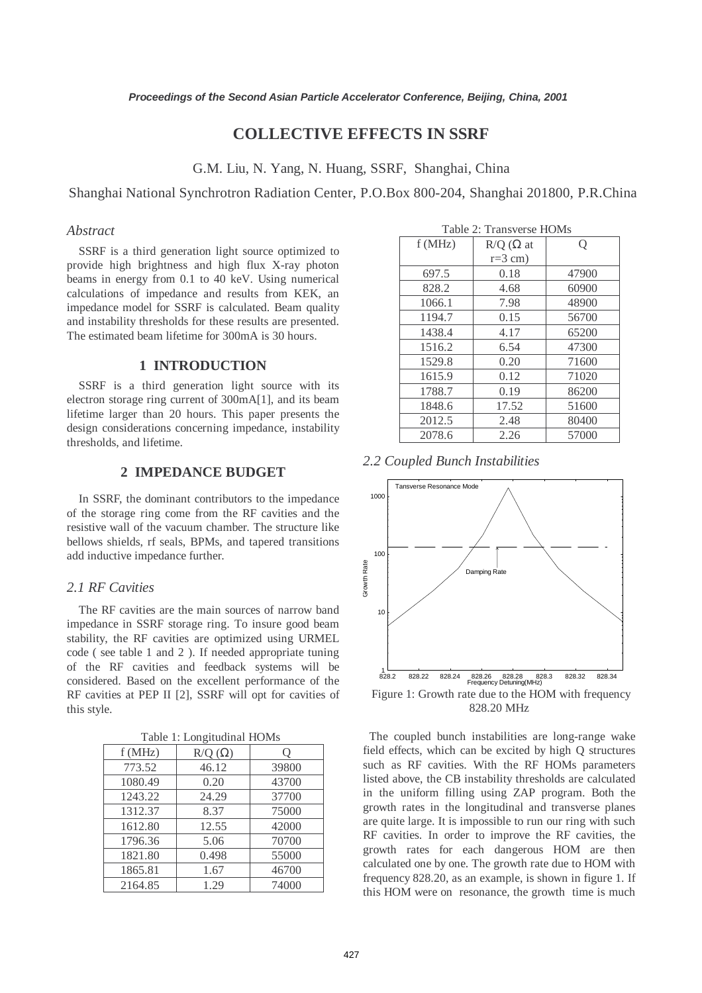# **COLLECTIVE EFFECTS IN SSRF**

G.M. Liu, N. Yang, N. Huang, SSRF, Shanghai, China

Shanghai National Synchrotron Radiation Center, P.O.Box 800-204, Shanghai 201800, P.R.China

# *Abstract*

SSRF is a third generation light source optimized to provide high brightness and high flux X-ray photon beams in energy from 0.1 to 40 keV. Using numerical calculations of impedance and results from KEK, an impedance model for SSRF is calculated. Beam quality and instability thresholds for these results are presented. The estimated beam lifetime for 300mA is 30 hours.

# **1 INTRODUCTION**

SSRF is a third generation light source with its electron storage ring current of 300mA[1], and its beam lifetime larger than 20 hours. This paper presents the design considerations concerning impedance, instability thresholds, and lifetime.

# **2 IMPEDANCE BUDGET**

In SSRF, the dominant contributors to the impedance of the storage ring come from the RF cavities and the resistive wall of the vacuum chamber. The structure like bellows shields, rf seals, BPMs, and tapered transitions add inductive impedance further.

# *2.1 RF Cavities*

The RF cavities are the main sources of narrow band impedance in SSRF storage ring. To insure good beam stability, the RF cavities are optimized using URMEL code ( see table 1 and 2 ). If needed appropriate tuning of the RF cavities and feedback systems will be considered. Based on the excellent performance of the RF cavities at PEP II [2], SSRF will opt for cavities of this style.

| 2017, 100 |               |       |  |  |  |
|-----------|---------------|-------|--|--|--|
| f(MHz)    | $R/Q(\Omega)$ | Q     |  |  |  |
| 773.52    | 46.12         | 39800 |  |  |  |
| 1080.49   | 0.20          | 43700 |  |  |  |
| 1243.22   | 24.29         | 37700 |  |  |  |
| 1312.37   | 8.37          | 75000 |  |  |  |
| 1612.80   | 12.55         | 42000 |  |  |  |
| 1796.36   | 5.06          | 70700 |  |  |  |
| 1821.80   | 0.498         | 55000 |  |  |  |
| 1865.81   | 1.67          | 46700 |  |  |  |
| 2164.85   | 1.29          | 74000 |  |  |  |

| Table 2: Transverse HOMs |                     |       |  |  |
|--------------------------|---------------------|-------|--|--|
| f(MHz)                   | $R/Q$ ( $\Omega$ at | Q     |  |  |
|                          | $r=3$ cm)           |       |  |  |
| 697.5                    | 0.18                | 47900 |  |  |
| 828.2                    | 4.68                | 60900 |  |  |
| 1066.1                   | 7.98                | 48900 |  |  |
| 1194.7                   | 0.15                | 56700 |  |  |
| 1438.4                   | 4.17                | 65200 |  |  |
| 1516.2                   | 6.54                | 47300 |  |  |
| 1529.8                   | 0.20                | 71600 |  |  |
| 1615.9                   | 0.12                | 71020 |  |  |
| 1788.7                   | 0.19                | 86200 |  |  |
| 1848.6                   | 17.52               | 51600 |  |  |
| 2012.5                   | 2.48                | 80400 |  |  |
| 2078.6                   | 2.26                | 57000 |  |  |





828.20 MHz

 The coupled bunch instabilities are long-range wake field effects, which can be excited by high Q structures such as RF cavities. With the RF HOMs parameters listed above, the CB instability thresholds are calculated in the uniform filling using ZAP program. Both the growth rates in the longitudinal and transverse planes are quite large. It is impossible to run our ring with such RF cavities. In order to improve the RF cavities, the growth rates for each dangerous HOM are then calculated one by one. The growth rate due to HOM with frequency 828.20, as an example, is shown in figure 1. If this HOM were on resonance, the growth time is much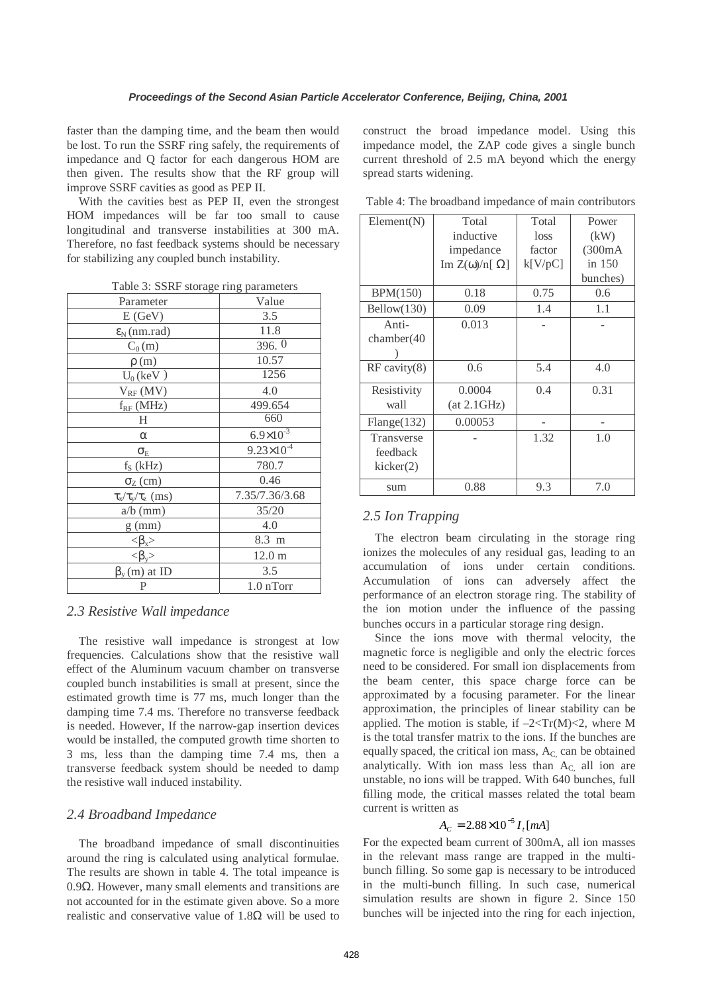faster than the damping time, and the beam then would be lost. To run the SSRF ring safely, the requirements of impedance and Q factor for each dangerous HOM are then given. The results show that the RF group will improve SSRF cavities as good as PEP II.

With the cavities best as PEP II, even the strongest HOM impedances will be far too small to cause longitudinal and transverse instabilities at 300 mA. Therefore, no fast feedback systems should be necessary for stabilizing any coupled bunch instability.

| rable 5: SSRF storage ring parameters         |                       |  |  |  |
|-----------------------------------------------|-----------------------|--|--|--|
| Parameter                                     | Value                 |  |  |  |
| E(GeV)                                        | 3.5                   |  |  |  |
| $\varepsilon_N$ (nm.rad)                      | 11.8                  |  |  |  |
| $C_0(m)$                                      | 396.0                 |  |  |  |
| $\rho(m)$                                     | 10.57                 |  |  |  |
| $U_0$ (keV)                                   | 1256                  |  |  |  |
| $V_{RF}$ (MV)                                 | 4.0                   |  |  |  |
| $f_{RF}$ (MHz)                                | 499.654               |  |  |  |
| Η                                             | 660                   |  |  |  |
| $\alpha$                                      | $6.9 \times 10^{-3}$  |  |  |  |
| $\sigma_{\rm E}$                              | $9.23 \times 10^{-4}$ |  |  |  |
| $f_S$ (kHz)                                   | 780.7                 |  |  |  |
| $\sigma$ <sub>Z</sub> (cm)                    | 0.46                  |  |  |  |
| $\tau_{\rm x}/\tau_{\rm y}/\tau_{\rm z}$ (ms) | 7.35/7.36/3.68        |  |  |  |
| $a/b$ (mm)                                    | 35/20                 |  |  |  |
| $g$ (mm)                                      | 4.0                   |  |  |  |
| $\langle \beta_x \rangle$                     | 8.3 m                 |  |  |  |
| $<\!\beta_{\rm v}\!\!>$                       | 12.0 <sub>m</sub>     |  |  |  |
| $\beta_{\rm v}(\rm m)$ at ID                  | 3.5                   |  |  |  |
| P                                             | 1.0 nTorr             |  |  |  |
|                                               |                       |  |  |  |

 $T<sub>1</sub>$   $T<sub>2</sub>$ : SSRF storage ring parameters

# *2.3 Resistive Wall impedance*

The resistive wall impedance is strongest at low frequencies. Calculations show that the resistive wall effect of the Aluminum vacuum chamber on transverse coupled bunch instabilities is small at present, since the estimated growth time is 77 ms, much longer than the damping time 7.4 ms. Therefore no transverse feedback is needed. However, If the narrow-gap insertion devices would be installed, the computed growth time shorten to 3 ms, less than the damping time 7.4 ms, then a transverse feedback system should be needed to damp the resistive wall induced instability.

# *2.4 Broadband Impedance*

The broadband impedance of small discontinuities around the ring is calculated using analytical formulae. The results are shown in table 4. The total impeance is 0.9Ω. However, many small elements and transitions are not accounted for in the estimate given above. So a more realistic and conservative value of  $1.8\Omega$  will be used to

construct the broad impedance model. Using this impedance model, the ZAP code gives a single bunch current threshold of 2.5 mA beyond which the energy spread starts widening.

Table 4: The broadband impedance of main contributors

| Element(N)        | Total                           | Total   | Power    |
|-------------------|---------------------------------|---------|----------|
|                   | inductive                       | loss    | (kW)     |
|                   | impedance                       | factor  | (300mA)  |
|                   | $\text{Im }Z(\omega)/n[\Omega]$ | k[V/pC] | in 150   |
|                   |                                 |         | bunches) |
| BPM(150)          | 0.18                            | 0.75    | 0.6      |
| Bellow(130)       | 0.09                            | 1.4     | 1.1      |
| Anti-             | 0.013                           |         |          |
| chamber(40)       |                                 |         |          |
|                   |                                 |         |          |
| $RF$ cavity $(8)$ | 0.6                             | 5.4     | 4.0      |
| Resistivity       | 0.0004                          | 0.4     | 0.31     |
| wall              | (at 2.1GHz)                     |         |          |
| Flange(132)       | 0.00053                         |         |          |
| Transverse        |                                 | 1.32    | 1.0      |
| feedback          |                                 |         |          |
| kicker(2)         |                                 |         |          |
| sum               | 0.88                            | 9.3     | 7.0      |

# *2.5 Ion Trapping*

The electron beam circulating in the storage ring ionizes the molecules of any residual gas, leading to an accumulation of ions under certain conditions. Accumulation of ions can adversely affect the performance of an electron storage ring. The stability of the ion motion under the influence of the passing bunches occurs in a particular storage ring design.

Since the ions move with thermal velocity, the magnetic force is negligible and only the electric forces need to be considered. For small ion displacements from the beam center, this space charge force can be approximated by a focusing parameter. For the linear approximation, the principles of linear stability can be applied. The motion is stable, if  $-2 < Tr(M) < 2$ , where M is the total transfer matrix to the ions. If the bunches are equally spaced, the critical ion mass,  $A<sub>C</sub>$  can be obtained analytically. With ion mass less than  $A<sub>C</sub>$  all ion are unstable, no ions will be trapped. With 640 bunches, full filling mode, the critical masses related the total beam current is written as

# $A_C = 2.88 \times 10^{-5} I$ <sub>r</sub> [mA]

For the expected beam current of 300mA, all ion masses in the relevant mass range are trapped in the multibunch filling. So some gap is necessary to be introduced in the multi-bunch filling. In such case, numerical simulation results are shown in figure 2. Since 150 bunches will be injected into the ring for each injection,